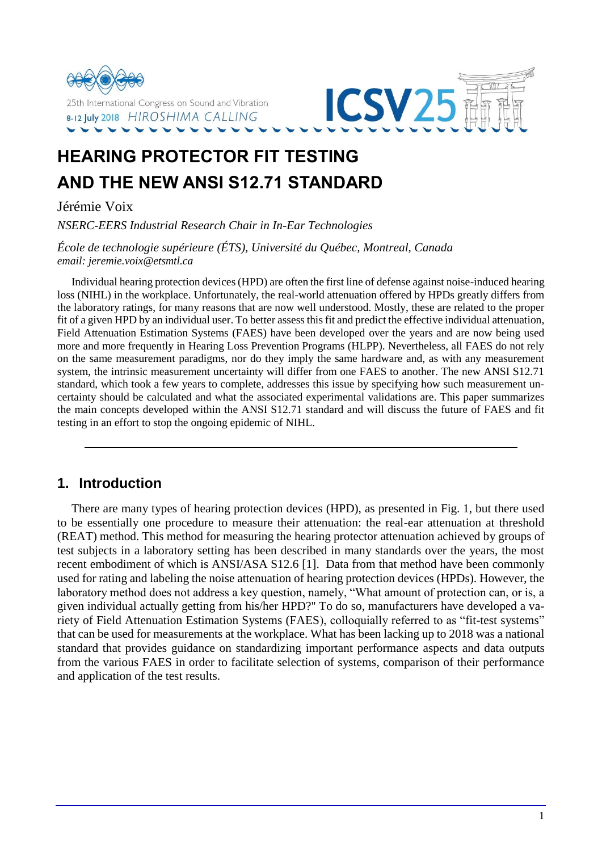



# **HEARING PROTECTOR FIT TESTING AND THE NEW ANSI S12.71 STANDARD**

Jérémie Voix

*NSERC-EERS Industrial Research Chair in In-Ear Technologies*

*École de technologie supérieure (ÉTS), Université du Québec, Montreal, Canada email: jeremie.voix@etsmtl.ca*

Individual hearing protection devices (HPD) are often the first line of defense against noise-induced hearing loss (NIHL) in the workplace. Unfortunately, the real-world attenuation offered by HPDs greatly differs from the laboratory ratings, for many reasons that are now well understood. Mostly, these are related to the proper fit of a given HPD by an individual user. To better assess this fit and predict the effective individual attenuation, Field Attenuation Estimation Systems (FAES) have been developed over the years and are now being used more and more frequently in Hearing Loss Prevention Programs (HLPP). Nevertheless, all FAES do not rely on the same measurement paradigms, nor do they imply the same hardware and, as with any measurement system, the intrinsic measurement uncertainty will differ from one FAES to another. The new ANSI S12.71 standard, which took a few years to complete, addresses this issue by specifying how such measurement uncertainty should be calculated and what the associated experimental validations are. This paper summarizes the main concepts developed within the ANSI S12.71 standard and will discuss the future of FAES and fit testing in an effort to stop the ongoing epidemic of NIHL.

# **1. Introduction**

There are many types of hearing protection devices (HPD), as presented in Fig. 1, but there used to be essentially one procedure to measure their attenuation: the real-ear attenuation at threshold (REAT) method. This method for measuring the hearing protector attenuation achieved by groups of test subjects in a laboratory setting has been described in many standards over the years, the most recent embodiment of which is ANSI/ASA S12.6 [1]. Data from that method have been commonly used for rating and labeling the noise attenuation of hearing protection devices (HPDs). However, the laboratory method does not address a key question, namely, "What amount of protection can, or is, a given individual actually getting from his/her HPD?'' To do so, manufacturers have developed a variety of Field Attenuation Estimation Systems (FAES), colloquially referred to as "fit-test systems" that can be used for measurements at the workplace. What has been lacking up to 2018 was a national standard that provides guidance on standardizing important performance aspects and data outputs from the various FAES in order to facilitate selection of systems, comparison of their performance and application of the test results.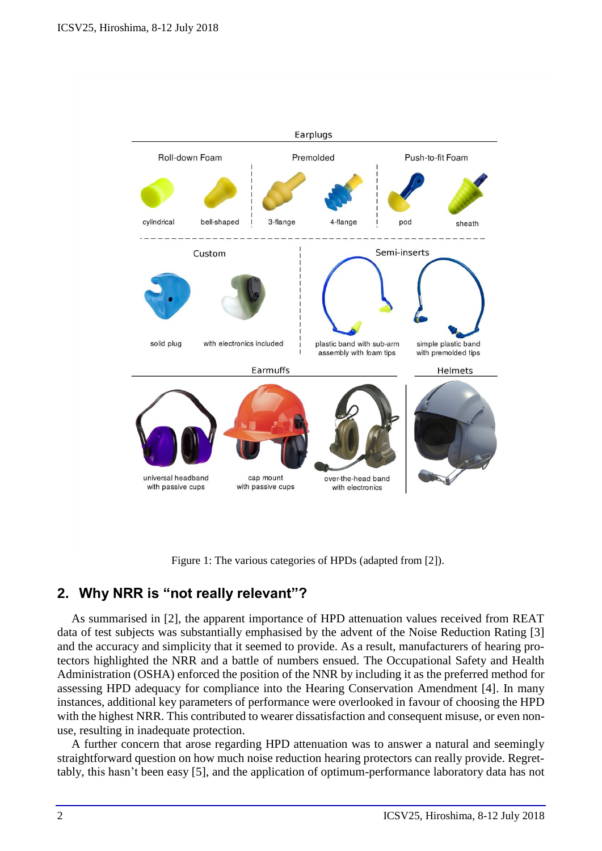

Figure 1: The various categories of HPDs (adapted from [2]).

# **2. Why NRR is "not really relevant"?**

As summarised in [2], the apparent importance of HPD attenuation values received from REAT data of test subjects was substantially emphasised by the advent of the Noise Reduction Rating [3] and the accuracy and simplicity that it seemed to provide. As a result, manufacturers of hearing protectors highlighted the NRR and a battle of numbers ensued. The Occupational Safety and Health Administration (OSHA) enforced the position of the NNR by including it as the preferred method for assessing HPD adequacy for compliance into the Hearing Conservation Amendment [4]. In many instances, additional key parameters of performance were overlooked in favour of choosing the HPD with the highest NRR. This contributed to wearer dissatisfaction and consequent misuse, or even nonuse, resulting in inadequate protection.

A further concern that arose regarding HPD attenuation was to answer a natural and seemingly straightforward question on how much noise reduction hearing protectors can really provide. Regrettably, this hasn't been easy [5], and the application of optimum-performance laboratory data has not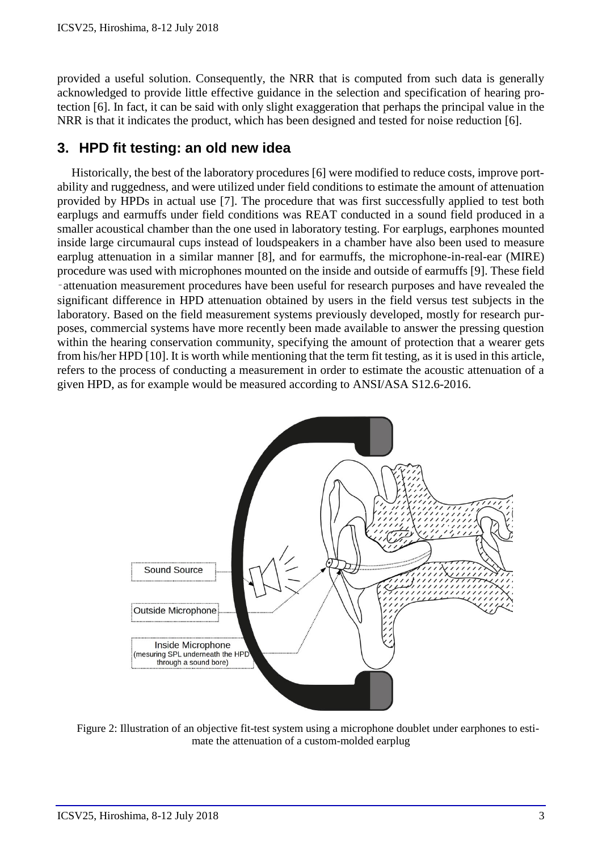provided a useful solution. Consequently, the NRR that is computed from such data is generally acknowledged to provide little effective guidance in the selection and specification of hearing protection [6]. In fact, it can be said with only slight exaggeration that perhaps the principal value in the NRR is that it indicates the product, which has been designed and tested for noise reduction [6].

## **3. HPD fit testing: an old new idea**

Historically, the best of the laboratory procedures [6] were modified to reduce costs, improve portability and ruggedness, and were utilized under field conditions to estimate the amount of attenuation provided by HPDs in actual use [7]. The procedure that was first successfully applied to test both earplugs and earmuffs under field conditions was REAT conducted in a sound field produced in a smaller acoustical chamber than the one used in laboratory testing. For earplugs, earphones mounted inside large circumaural cups instead of loudspeakers in a chamber have also been used to measure earplug attenuation in a similar manner [8], and for earmuffs, the microphone-in-real-ear (MIRE) procedure was used with microphones mounted on the inside and outside of earmuffs [9]. These field ‑attenuation measurement procedures have been useful for research purposes and have revealed the significant difference in HPD attenuation obtained by users in the field versus test subjects in the laboratory. Based on the field measurement systems previously developed, mostly for research purposes, commercial systems have more recently been made available to answer the pressing question within the hearing conservation community, specifying the amount of protection that a wearer gets from his/her HPD [10]. It is worth while mentioning that the term fit testing, as it is used in this article, refers to the process of conducting a measurement in order to estimate the acoustic attenuation of a given HPD, as for example would be measured according to ANSI/ASA S12.6-2016.



Figure 2: Illustration of an objective fit-test system using a microphone doublet under earphones to estimate the attenuation of a custom-molded earplug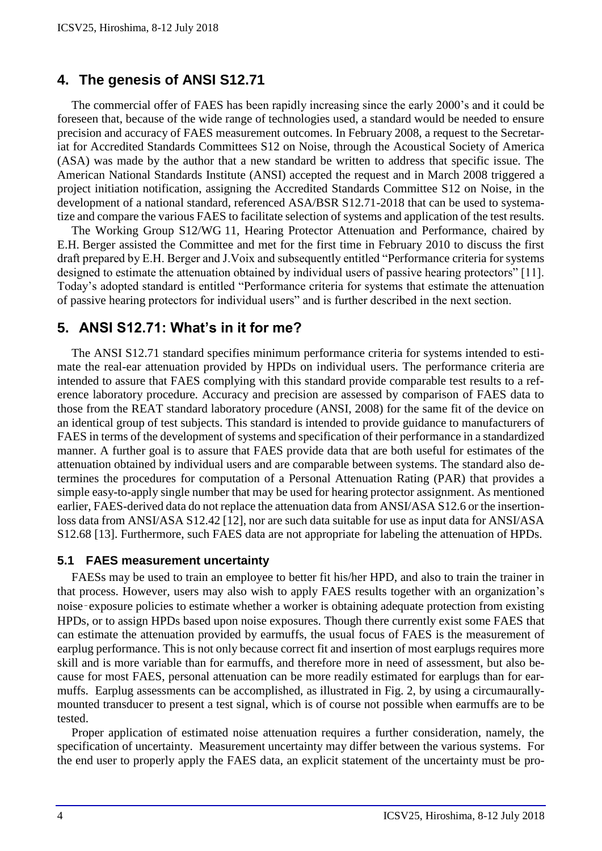# **4. The genesis of ANSI S12.71**

The commercial offer of FAES has been rapidly increasing since the early 2000's and it could be foreseen that, because of the wide range of technologies used, a standard would be needed to ensure precision and accuracy of FAES measurement outcomes. In February 2008, a request to the Secretariat for Accredited Standards Committees S12 on Noise, through the Acoustical Society of America (ASA) was made by the author that a new standard be written to address that specific issue. The American National Standards Institute (ANSI) accepted the request and in March 2008 triggered a project initiation notification, assigning the Accredited Standards Committee S12 on Noise, in the development of a national standard, referenced ASA/BSR S12.71-2018 that can be used to systematize and compare the various FAES to facilitate selection of systems and application of the test results.

The Working Group S12/WG 11, Hearing Protector Attenuation and Performance, chaired by E.H. Berger assisted the Committee and met for the first time in February 2010 to discuss the first draft prepared by E.H. Berger and J.Voix and subsequently entitled "Performance criteria for systems designed to estimate the attenuation obtained by individual users of passive hearing protectors" [11]. Today's adopted standard is entitled "Performance criteria for systems that estimate the attenuation of passive hearing protectors for individual users" and is further described in the next section.

# **5. ANSI S12.71: What's in it for me?**

The ANSI S12.71 standard specifies minimum performance criteria for systems intended to estimate the real-ear attenuation provided by HPDs on individual users. The performance criteria are intended to assure that FAES complying with this standard provide comparable test results to a reference laboratory procedure. Accuracy and precision are assessed by comparison of FAES data to those from the REAT standard laboratory procedure (ANSI, 2008) for the same fit of the device on an identical group of test subjects. This standard is intended to provide guidance to manufacturers of FAES in terms of the development of systems and specification of their performance in a standardized manner. A further goal is to assure that FAES provide data that are both useful for estimates of the attenuation obtained by individual users and are comparable between systems. The standard also determines the procedures for computation of a Personal Attenuation Rating (PAR) that provides a simple easy-to-apply single number that may be used for hearing protector assignment. As mentioned earlier, FAES-derived data do not replace the attenuation data from ANSI/ASA S12.6 or the insertionloss data from ANSI/ASA S12.42 [12], nor are such data suitable for use as input data for ANSI/ASA S12.68 [13]. Furthermore, such FAES data are not appropriate for labeling the attenuation of HPDs.

#### **5.1 FAES measurement uncertainty**

FAESs may be used to train an employee to better fit his/her HPD, and also to train the trainer in that process. However, users may also wish to apply FAES results together with an organization's noise‑exposure policies to estimate whether a worker is obtaining adequate protection from existing HPDs, or to assign HPDs based upon noise exposures. Though there currently exist some FAES that can estimate the attenuation provided by earmuffs, the usual focus of FAES is the measurement of earplug performance. This is not only because correct fit and insertion of most earplugs requires more skill and is more variable than for earmuffs, and therefore more in need of assessment, but also because for most FAES, personal attenuation can be more readily estimated for earplugs than for earmuffs. Earplug assessments can be accomplished, as illustrated in Fig. 2, by using a circumaurallymounted transducer to present a test signal, which is of course not possible when earmuffs are to be tested.

Proper application of estimated noise attenuation requires a further consideration, namely, the specification of uncertainty. Measurement uncertainty may differ between the various systems. For the end user to properly apply the FAES data, an explicit statement of the uncertainty must be pro-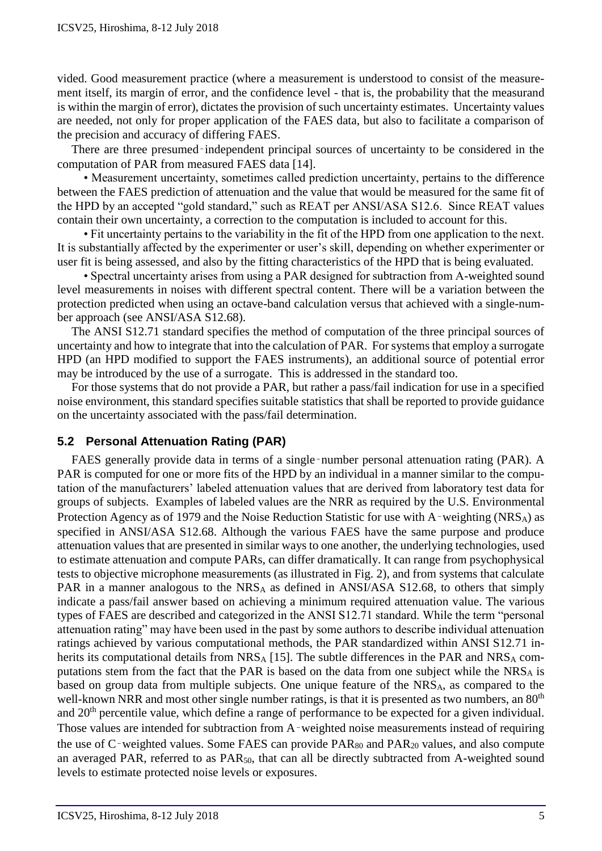vided. Good measurement practice (where a measurement is understood to consist of the measurement itself, its margin of error, and the confidence level - that is, the probability that the measurand is within the margin of error), dictates the provision of such uncertainty estimates. Uncertainty values are needed, not only for proper application of the FAES data, but also to facilitate a comparison of the precision and accuracy of differing FAES.

There are three presumed–independent principal sources of uncertainty to be considered in the computation of PAR from measured FAES data [14].

 • Measurement uncertainty, sometimes called prediction uncertainty, pertains to the difference between the FAES prediction of attenuation and the value that would be measured for the same fit of the HPD by an accepted "gold standard," such as REAT per ANSI/ASA S12.6. Since REAT values contain their own uncertainty, a correction to the computation is included to account for this.

 • Fit uncertainty pertains to the variability in the fit of the HPD from one application to the next. It is substantially affected by the experimenter or user's skill, depending on whether experimenter or user fit is being assessed, and also by the fitting characteristics of the HPD that is being evaluated.

 • Spectral uncertainty arises from using a PAR designed for subtraction from A-weighted sound level measurements in noises with different spectral content. There will be a variation between the protection predicted when using an octave-band calculation versus that achieved with a single-number approach (see ANSI/ASA S12.68).

The ANSI S12.71 standard specifies the method of computation of the three principal sources of uncertainty and how to integrate that into the calculation of PAR. For systems that employ a surrogate HPD (an HPD modified to support the FAES instruments), an additional source of potential error may be introduced by the use of a surrogate. This is addressed in the standard too.

For those systems that do not provide a PAR, but rather a pass/fail indication for use in a specified noise environment, this standard specifies suitable statistics that shall be reported to provide guidance on the uncertainty associated with the pass/fail determination.

### **5.2 Personal Attenuation Rating (PAR)**

FAES generally provide data in terms of a single–number personal attenuation rating (PAR). A PAR is computed for one or more fits of the HPD by an individual in a manner similar to the computation of the manufacturers' labeled attenuation values that are derived from laboratory test data for groups of subjects. Examples of labeled values are the NRR as required by the U.S. Environmental Protection Agency as of 1979 and the Noise Reduction Statistic for use with A–weighting (NRS<sub>A</sub>) as specified in ANSI/ASA S12.68. Although the various FAES have the same purpose and produce attenuation values that are presented in similar ways to one another, the underlying technologies, used to estimate attenuation and compute PARs, can differ dramatically. It can range from psychophysical tests to objective microphone measurements (as illustrated in Fig. 2), and from systems that calculate PAR in a manner analogous to the NRS<sub>A</sub> as defined in ANSI/ASA S12.68, to others that simply indicate a pass/fail answer based on achieving a minimum required attenuation value. The various types of FAES are described and categorized in the ANSI S12.71 standard. While the term "personal attenuation rating" may have been used in the past by some authors to describe individual attenuation ratings achieved by various computational methods, the PAR standardized within ANSI S12.71 inherits its computational details from  $NRS_A$  [15]. The subtle differences in the PAR and  $NRS_A$  computations stem from the fact that the PAR is based on the data from one subject while the  $NRS_A$  is based on group data from multiple subjects. One unique feature of the NRSA, as compared to the well-known NRR and most other single number ratings, is that it is presented as two numbers, an 80<sup>th</sup> and 20<sup>th</sup> percentile value, which define a range of performance to be expected for a given individual. Those values are intended for subtraction from A–weighted noise measurements instead of requiring the use of C–weighted values. Some FAES can provide PAR<sub>80</sub> and PAR<sub>20</sub> values, and also compute an averaged PAR, referred to as PAR<sub>50</sub>, that can all be directly subtracted from A-weighted sound levels to estimate protected noise levels or exposures.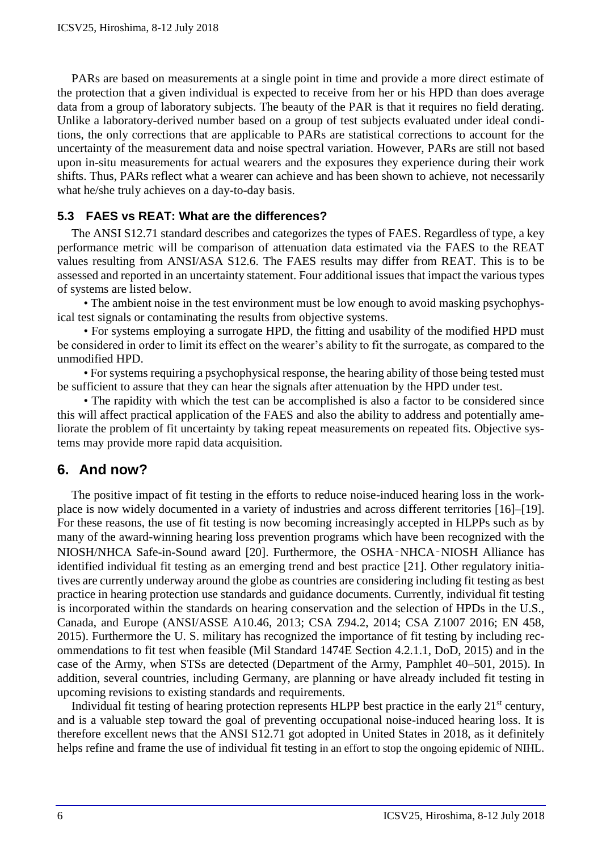PARs are based on measurements at a single point in time and provide a more direct estimate of the protection that a given individual is expected to receive from her or his HPD than does average data from a group of laboratory subjects. The beauty of the PAR is that it requires no field derating. Unlike a laboratory-derived number based on a group of test subjects evaluated under ideal conditions, the only corrections that are applicable to PARs are statistical corrections to account for the uncertainty of the measurement data and noise spectral variation. However, PARs are still not based upon in-situ measurements for actual wearers and the exposures they experience during their work shifts. Thus, PARs reflect what a wearer can achieve and has been shown to achieve, not necessarily what he/she truly achieves on a day-to-day basis.

### **5.3 FAES vs REAT: What are the differences?**

The ANSI S12.71 standard describes and categorizes the types of FAES. Regardless of type, a key performance metric will be comparison of attenuation data estimated via the FAES to the REAT values resulting from ANSI/ASA S12.6. The FAES results may differ from REAT. This is to be assessed and reported in an uncertainty statement. Four additional issues that impact the various types of systems are listed below.

 • The ambient noise in the test environment must be low enough to avoid masking psychophysical test signals or contaminating the results from objective systems.

 • For systems employing a surrogate HPD, the fitting and usability of the modified HPD must be considered in order to limit its effect on the wearer's ability to fit the surrogate, as compared to the unmodified HPD.

 • For systems requiring a psychophysical response, the hearing ability of those being tested must be sufficient to assure that they can hear the signals after attenuation by the HPD under test.

 • The rapidity with which the test can be accomplished is also a factor to be considered since this will affect practical application of the FAES and also the ability to address and potentially ameliorate the problem of fit uncertainty by taking repeat measurements on repeated fits. Objective systems may provide more rapid data acquisition.

# **6. And now?**

The positive impact of fit testing in the efforts to reduce noise-induced hearing loss in the workplace is now widely documented in a variety of industries and across different territories [16]–[19]. For these reasons, the use of fit testing is now becoming increasingly accepted in HLPPs such as by many of the award-winning hearing loss prevention programs which have been recognized with the NIOSH/NHCA Safe-in-Sound award [20]. Furthermore, the OSHA‑NHCA‑NIOSH Alliance has identified individual fit testing as an emerging trend and best practice [21]. Other regulatory initiatives are currently underway around the globe as countries are considering including fit testing as best practice in hearing protection use standards and guidance documents. Currently, individual fit testing is incorporated within the standards on hearing conservation and the selection of HPDs in the U.S., Canada, and Europe (ANSI/ASSE A10.46, 2013; CSA Z94.2, 2014; CSA Z1007 2016; EN 458, 2015). Furthermore the U. S. military has recognized the importance of fit testing by including recommendations to fit test when feasible (Mil Standard 1474E Section 4.2.1.1, DoD, 2015) and in the case of the Army, when STSs are detected (Department of the Army, Pamphlet 40–501, 2015). In addition, several countries, including Germany, are planning or have already included fit testing in upcoming revisions to existing standards and requirements.

Individual fit testing of hearing protection represents HLPP best practice in the early 21<sup>st</sup> century, and is a valuable step toward the goal of preventing occupational noise-induced hearing loss. It is therefore excellent news that the ANSI S12.71 got adopted in United States in 2018, as it definitely helps refine and frame the use of individual fit testing in an effort to stop the ongoing epidemic of NIHL.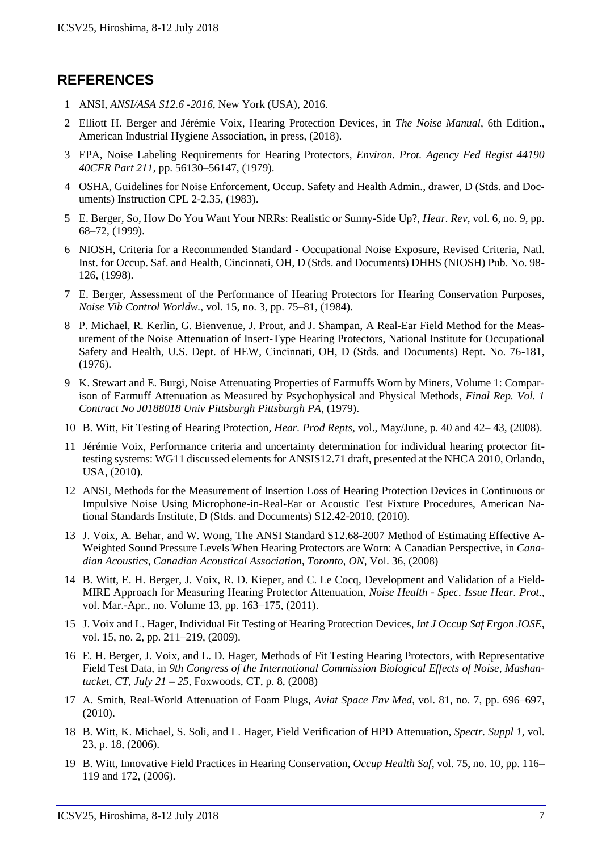# **REFERENCES**

- 1 ANSI, *ANSI/ASA S12.6 -2016*, New York (USA), 2016.
- 2 Elliott H. Berger and Jérémie Voix, Hearing Protection Devices, in *The Noise Manual*, 6th Edition., American Industrial Hygiene Association, in press, (2018).
- 3 EPA, Noise Labeling Requirements for Hearing Protectors, *Environ. Prot. Agency Fed Regist 44190 40CFR Part 211*, pp. 56130–56147, (1979).
- 4 OSHA, Guidelines for Noise Enforcement, Occup. Safety and Health Admin., drawer, D (Stds. and Documents) Instruction CPL 2-2.35, (1983).
- 5 E. Berger, So, How Do You Want Your NRRs: Realistic or Sunny-Side Up?, *Hear. Rev*, vol. 6, no. 9, pp. 68–72, (1999).
- 6 NIOSH, Criteria for a Recommended Standard Occupational Noise Exposure, Revised Criteria, Natl. Inst. for Occup. Saf. and Health, Cincinnati, OH, D (Stds. and Documents) DHHS (NIOSH) Pub. No. 98- 126, (1998).
- 7 E. Berger, Assessment of the Performance of Hearing Protectors for Hearing Conservation Purposes, *Noise Vib Control Worldw.*, vol. 15, no. 3, pp. 75–81, (1984).
- 8 P. Michael, R. Kerlin, G. Bienvenue, J. Prout, and J. Shampan, A Real-Ear Field Method for the Measurement of the Noise Attenuation of Insert-Type Hearing Protectors, National Institute for Occupational Safety and Health, U.S. Dept. of HEW, Cincinnati, OH, D (Stds. and Documents) Rept. No. 76-181, (1976).
- 9 K. Stewart and E. Burgi, Noise Attenuating Properties of Earmuffs Worn by Miners, Volume 1: Comparison of Earmuff Attenuation as Measured by Psychophysical and Physical Methods, *Final Rep. Vol. 1 Contract No J0188018 Univ Pittsburgh Pittsburgh PA*, (1979).
- 10 B. Witt, Fit Testing of Hearing Protection, *Hear. Prod Repts*, vol., May/June, p. 40 and 42– 43, (2008).
- 11 Jérémie Voix, Performance criteria and uncertainty determination for individual hearing protector fittesting systems: WG11 discussed elements for ANSIS12.71 draft, presented at the NHCA 2010, Orlando, USA, (2010).
- 12 ANSI, Methods for the Measurement of Insertion Loss of Hearing Protection Devices in Continuous or Impulsive Noise Using Microphone-in-Real-Ear or Acoustic Test Fixture Procedures, American National Standards Institute, D (Stds. and Documents) S12.42-2010, (2010).
- 13 J. Voix, A. Behar, and W. Wong, The ANSI Standard S12.68-2007 Method of Estimating Effective A-Weighted Sound Pressure Levels When Hearing Protectors are Worn: A Canadian Perspective, in *Canadian Acoustics, Canadian Acoustical Association, Toronto, ON*, Vol. 36, (2008)
- 14 B. Witt, E. H. Berger, J. Voix, R. D. Kieper, and C. Le Cocq, Development and Validation of a Field-MIRE Approach for Measuring Hearing Protector Attenuation, *Noise Health - Spec. Issue Hear. Prot.*, vol. Mar.-Apr., no. Volume 13, pp. 163–175, (2011).
- 15 J. Voix and L. Hager, Individual Fit Testing of Hearing Protection Devices, *Int J Occup Saf Ergon JOSE*, vol. 15, no. 2, pp. 211–219, (2009).
- 16 E. H. Berger, J. Voix, and L. D. Hager, Methods of Fit Testing Hearing Protectors, with Representative Field Test Data, in *9th Congress of the International Commission Biological Effects of Noise, Mashantucket, CT, July 21 – 25,* Foxwoods, CT, p. 8, (2008)
- 17 A. Smith, Real-World Attenuation of Foam Plugs, *Aviat Space Env Med*, vol. 81, no. 7, pp. 696–697, (2010).
- 18 B. Witt, K. Michael, S. Soli, and L. Hager, Field Verification of HPD Attenuation, *Spectr. Suppl 1*, vol. 23, p. 18, (2006).
- 19 B. Witt, Innovative Field Practices in Hearing Conservation, *Occup Health Saf*, vol. 75, no. 10, pp. 116– 119 and 172, (2006).